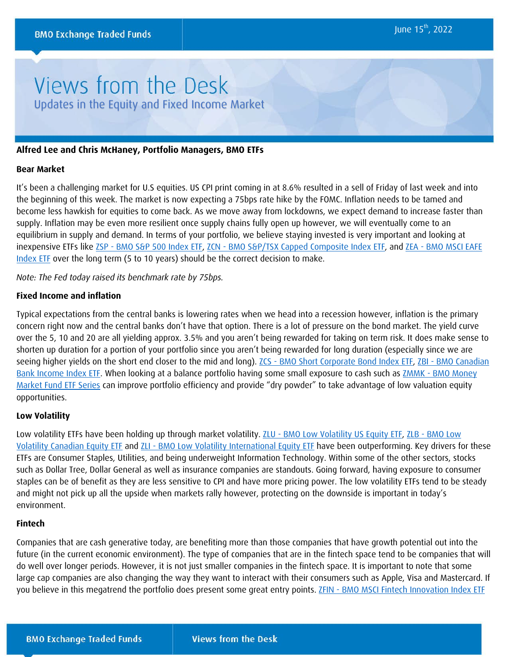# Views from the Desk Updates in the Equity and Fixed Income Market

# **Alfred Lee and Chris McHaney, Portfolio Managers, BMO ETFs**

### **Bear Market**

It's been a challenging market for U.S equities. US CPI print coming in at 8.6% resulted in a sell of Friday of last week and into the beginning of this week. The market is now expecting a 75bps rate hike by the FOMC. Inflation needs to be tamed and become less hawkish for equities to come back. As we move away from lockdowns, we expect demand to increase faster than supply. Inflation may be even more resilient once supply chains fully open up however, we will eventually come to an equilibrium in supply and demand. In terms of your portfolio, we believe staying invested is very important and looking at inexpensive ETFs like ZSP - [BMO S&P 500 Index ETF,](https://www.bmo.com/gam/ca/advisor/products/etfs?fundUrl=/fundProfile/ZSP#fundUrl=%2FfundProfile%2FZSP) ZCN - [BMO S&P/TSX Capped Composite Index ETF,](https://www.bmo.com/gam/ca/advisor/products/etfs?fundUrl=/fundProfile/ZCN#fundUrl=%2FfundProfile%2FZCN) and ZEA - [BMO MSCI EAFE](https://www.bmo.com/gam/ca/advisor/products/etfs?fundUrl=/fundProfile/ZEA#fundUrl=%2FfundProfile%2FZEA)  [Index ETF](https://www.bmo.com/gam/ca/advisor/products/etfs?fundUrl=/fundProfile/ZEA#fundUrl=%2FfundProfile%2FZEA) over the long term (5 to 10 years) should be the correct decision to make.

*Note: The Fed today raised its benchmark rate by 75bps.*

### **Fixed Income and inflation**

Typical expectations from the central banks is lowering rates when we head into a recession however, inflation is the primary concern right now and the central banks don't have that option. There is a lot of pressure on the bond market. The yield curve over the 5, 10 and 20 are all yielding approx. 3.5% and you aren't being rewarded for taking on term risk. It does make sense to shorten up duration for a portion of your portfolio since you aren't being rewarded for long duration (especially since we are seeing higher yields on the short end closer to the mid and long). ZCS - [BMO Short Corporate Bond Index ETF,](https://www.bmo.com/gam/ca/advisor/products/etfs?fundUrl=/fundProfile/ZCS#fundUrl=%2FfundProfile%2FZCS) ZBI - [BMO Canadian](https://www.bmo.com/gam/ca/advisor/products/etfs?fundUrl=/fundProfile/ZBI#fundUrl=%2FfundProfile%2FZBI)  [Bank Income Index ETF.](https://www.bmo.com/gam/ca/advisor/products/etfs?fundUrl=/fundProfile/ZBI#fundUrl=%2FfundProfile%2FZBI) When looking at a balance portfolio having some small exposure to cash such as **ZMMK - BMO Money** [Market Fund ETF Series](https://www.bmo.com/gam/ca/advisor/products/etfs?fundUrl=/fundProfile/ZMMK#fundUrl=%2FfundProfile%2FZMMK) can improve portfolio efficiency and provide "dry powder" to take advantage of low valuation equity opportunities.

# **Low Volatility**

Low volatility ETFs have been holding up through market volatility. ZLU - [BMO Low Volatility US Equity ETF,](https://www.bmo.com/gam/ca/advisor/products/etfs?fundUrl=/fundProfile/ZLU#fundUrl=%2FfundProfile%2FZLU) ZLB - [BMO Low](https://www.bmo.com/gam/ca/advisor/products/etfs?fundUrl=/fundProfile/ZLB#fundUrl=%2FfundProfile%2FZLB)  [Volatility Canadian Equity ETF](https://www.bmo.com/gam/ca/advisor/products/etfs?fundUrl=/fundProfile/ZLB#fundUrl=%2FfundProfile%2FZLB) and ZLI - [BMO Low Volatility International Equity ETF](https://www.bmo.com/gam/ca/advisor/products/etfs?fundUrl=/fundProfile/ZLI#fundUrl=%2FfundProfile%2FZLI) have been outperforming. Key drivers for these ETFs are Consumer Staples, Utilities, and being underweight Information Technology. Within some of the other sectors, stocks such as Dollar Tree, Dollar General as well as insurance companies are standouts. Going forward, having exposure to consumer staples can be of benefit as they are less sensitive to CPI and have more pricing power. The low volatility ETFs tend to be steady and might not pick up all the upside when markets rally however, protecting on the downside is important in today's environment.

#### **Fintech**

Companies that are cash generative today, are benefiting more than those companies that have growth potential out into the future (in the current economic environment). The type of companies that are in the fintech space tend to be companies that will do well over longer periods. However, it is not just smaller companies in the fintech space. It is important to note that some large cap companies are also changing the way they want to interact with their consumers such as Apple, Visa and Mastercard. If you believe in this megatrend the portfolio does present some great entry points. ZFIN - [BMO MSCI Fintech Innovation Index ETF](https://www.bmo.com/gam/ca/advisor/products/etfs?fundUrl=/fundProfile/ZFIN#fundUrl=%2FfundProfile%2FZFIN)